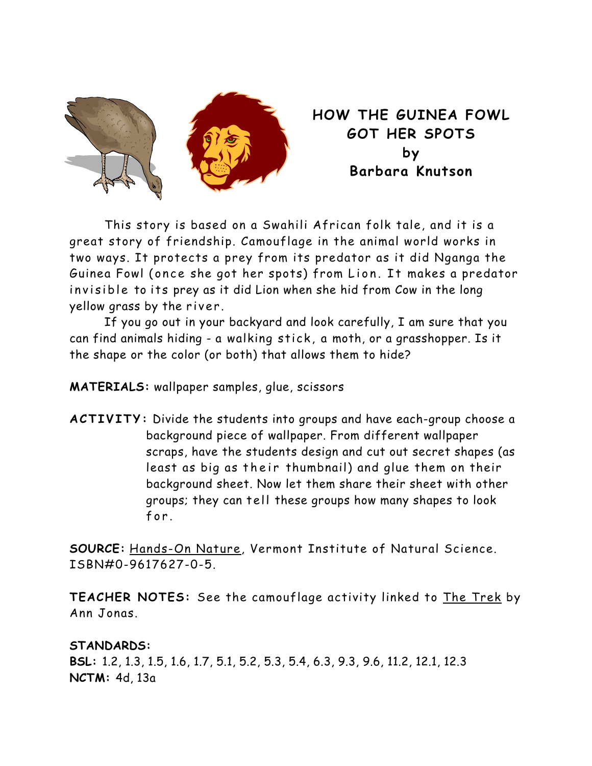

**HOW THE GUINEA FOWL GOT HER SPOTS by Barbara Knutson** 

 This story is based on a Swahili African folk tale, and it is a great story of friendship. Camouflage in the animal world works in two ways. It protects a prey from its predator as it did Nganga the Guinea Fowl (once she got her spots) from Lion. It makes a predator invisible to its prey as it did Lion when she hid from Cow in the long yellow grass by the river.

 If you go out in your backyard and look carefully, I am sure that you can find animals hiding - a walking stick, a moth, or a grasshopper. Is it the shape or the color (or both) that allows them to hide?

**MATERIALS:** wallpaper samples, glue, scissors

**ACTIVITY:** Divide the students into groups and have each-group choose a background piece of wallpaper. From different wallpaper scraps, have the students design and cut out secret shapes (as least as big as their thumbnail) and glue them on their background sheet. Now let them share their sheet with other groups; they can tell these groups how many shapes to look for.

**SOURCE:** Hands-On Nature, Vermont Institute of Natural Science. ISBN#0-9617627-0-5.

**TEACHER NOTES:** See the camouflage activity linked to The Trek by Ann Jonas.

## **STANDARDS:**

**BSL:** 1.2, 1.3, 1.5, 1.6, 1.7, 5.1, 5.2, 5.3, 5.4, 6.3, 9.3, 9.6, 11.2, 12.1, 12.3 **NCTM:** 4d, 13a